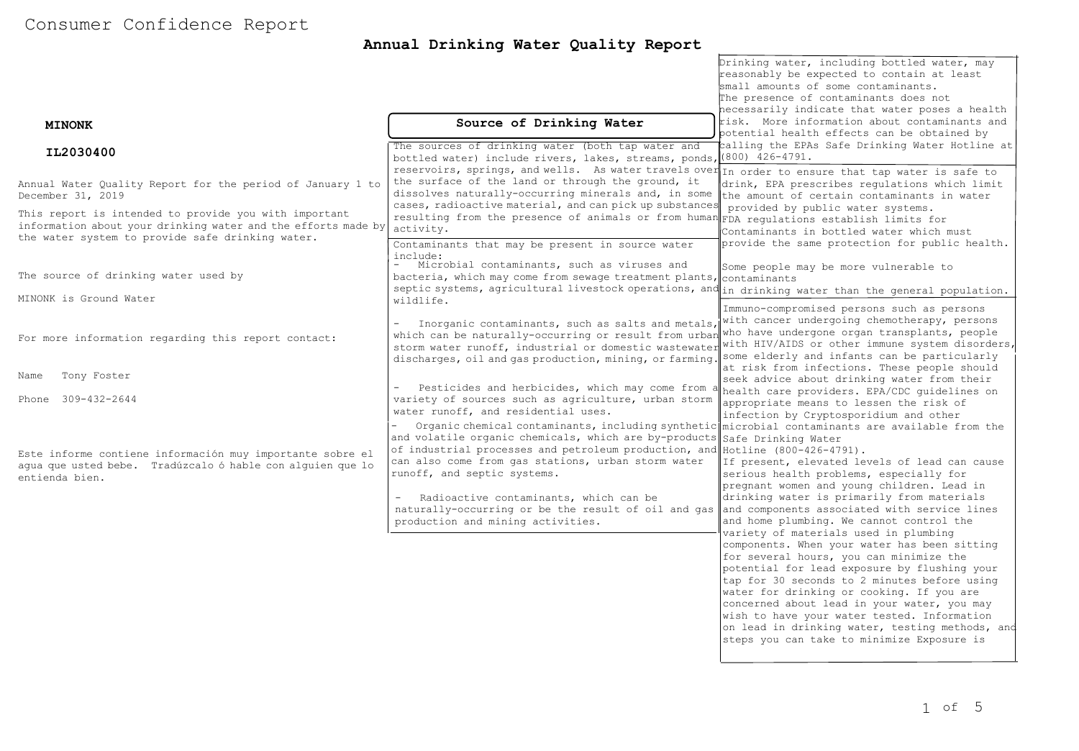# Consumer Confidence Report

## **Annual Drinking Water Quality Report**

| <b>MINONK</b>                                                                                                                                                              | Source of Drinking Water                                                                                                                                                                                                                                                                                                                            | Drinking water, including bottled water, may<br>reasonably be expected to contain at least<br>small amounts of some contaminants.<br>The presence of contaminants does not<br>necessarily indicate that water poses a health<br>risk. More information about contaminants and                                                                                                                                                       |  |  |  |
|----------------------------------------------------------------------------------------------------------------------------------------------------------------------------|-----------------------------------------------------------------------------------------------------------------------------------------------------------------------------------------------------------------------------------------------------------------------------------------------------------------------------------------------------|-------------------------------------------------------------------------------------------------------------------------------------------------------------------------------------------------------------------------------------------------------------------------------------------------------------------------------------------------------------------------------------------------------------------------------------|--|--|--|
|                                                                                                                                                                            |                                                                                                                                                                                                                                                                                                                                                     | potential health effects can be obtained by                                                                                                                                                                                                                                                                                                                                                                                         |  |  |  |
| IL2030400                                                                                                                                                                  | The sources of drinking water (both tap water and<br>bottled water) include rivers, lakes, streams, ponds, (800) 426-4791.<br>reservoirs, springs, and wells. As water travels over In order to ensure that tap water is safe to                                                                                                                    | calling the EPAs Safe Drinking Water Hotline at                                                                                                                                                                                                                                                                                                                                                                                     |  |  |  |
| Annual Water Quality Report for the period of January 1 to<br>December 31, 2019                                                                                            | the surface of the land or through the ground, it<br>dissolves naturally-occurring minerals and, in some<br>cases, radioactive material, and can pick up substances                                                                                                                                                                                 | drink, EPA prescribes requlations which limit<br>the amount of certain contaminants in water                                                                                                                                                                                                                                                                                                                                        |  |  |  |
| This report is intended to provide you with important<br>information about your drinking water and the efforts made by<br>the water system to provide safe drinking water. | resulting from the presence of animals or from human FDA regulations establish limits for<br>activity.<br>Contaminants that may be present in source water                                                                                                                                                                                          | provided by public water systems.<br>Contaminants in bottled water which must<br>provide the same protection for public health.                                                                                                                                                                                                                                                                                                     |  |  |  |
| The source of drinking water used by                                                                                                                                       | include:<br>Microbial contaminants, such as viruses and<br>bacteria, which may come from sewage treatment plants, contaminants<br>septic systems, agricultural livestock operations, and in drinking water than the general population.                                                                                                             | Some people may be more vulnerable to                                                                                                                                                                                                                                                                                                                                                                                               |  |  |  |
| MINONK is Ground Water                                                                                                                                                     | wildlife.<br>Inorganic contaminants, such as salts and metals, with cancer undergoing chemotherapy, persons<br>$\equiv$                                                                                                                                                                                                                             | Immuno-compromised persons such as persons                                                                                                                                                                                                                                                                                                                                                                                          |  |  |  |
| For more information regarding this report contact:                                                                                                                        | which can be naturally-occurring or result from urban who have undergone organ transplants, people<br>storm water runoff, industrial or domestic wastewater with HIV/AIDS or other immune system disorders,<br>discharges, oil and gas production, mining, or farming. Some elderly and infants can be particularly                                 |                                                                                                                                                                                                                                                                                                                                                                                                                                     |  |  |  |
| Tony Foster<br>Name                                                                                                                                                        |                                                                                                                                                                                                                                                                                                                                                     | at risk from infections. These people should<br>seek advice about drinking water from their                                                                                                                                                                                                                                                                                                                                         |  |  |  |
| Phone 309-432-2644                                                                                                                                                         | Pesticides and herbicides, which may come from a health care providers. EPA/CDC guidelines on<br>variety of sources such as agriculture, urban storm<br>water runoff, and residential uses.                                                                                                                                                         | appropriate means to lessen the risk of<br>infection by Cryptosporidium and other                                                                                                                                                                                                                                                                                                                                                   |  |  |  |
| Este informe contiene información muy importante sobre el<br>aqua que usted bebe. Tradúzcalo ó hable con alquien que lo<br>entienda bien.                                  | Organic chemical contaminants, including synthetic microbial contaminants are available from the<br>and volatile organic chemicals, which are by-products Safe Drinking Water<br>of industrial processes and petroleum production, and Hotline (800-426-4791).<br>can also come from gas stations, urban storm water<br>runoff, and septic systems. | If present, elevated levels of lead can cause<br>serious health problems, especially for<br>pregnant women and young children. Lead in<br>drinking water is primarily from materials<br>and home plumbing. We cannot control the<br>variety of materials used in plumbing                                                                                                                                                           |  |  |  |
|                                                                                                                                                                            | Radioactive contaminants, which can be<br>naturally-occurring or be the result of oil and gas and components associated with service lines<br>production and mining activities.                                                                                                                                                                     |                                                                                                                                                                                                                                                                                                                                                                                                                                     |  |  |  |
|                                                                                                                                                                            |                                                                                                                                                                                                                                                                                                                                                     | components. When your water has been sitting<br>for several hours, you can minimize the<br>potential for lead exposure by flushing your<br>tap for 30 seconds to 2 minutes before using<br>water for drinking or cooking. If you are<br>concerned about lead in your water, you may<br>wish to have your water tested. Information<br>on lead in drinking water, testing methods, and<br>steps you can take to minimize Exposure is |  |  |  |

hotline or at http://www.epa.gov/safewater/leads/leads/leads/leads/leads/leads/leads/leads/leads/leads/leads/l<br>The contract of the contract of the contract of the contract of the contract of the contract of the contract o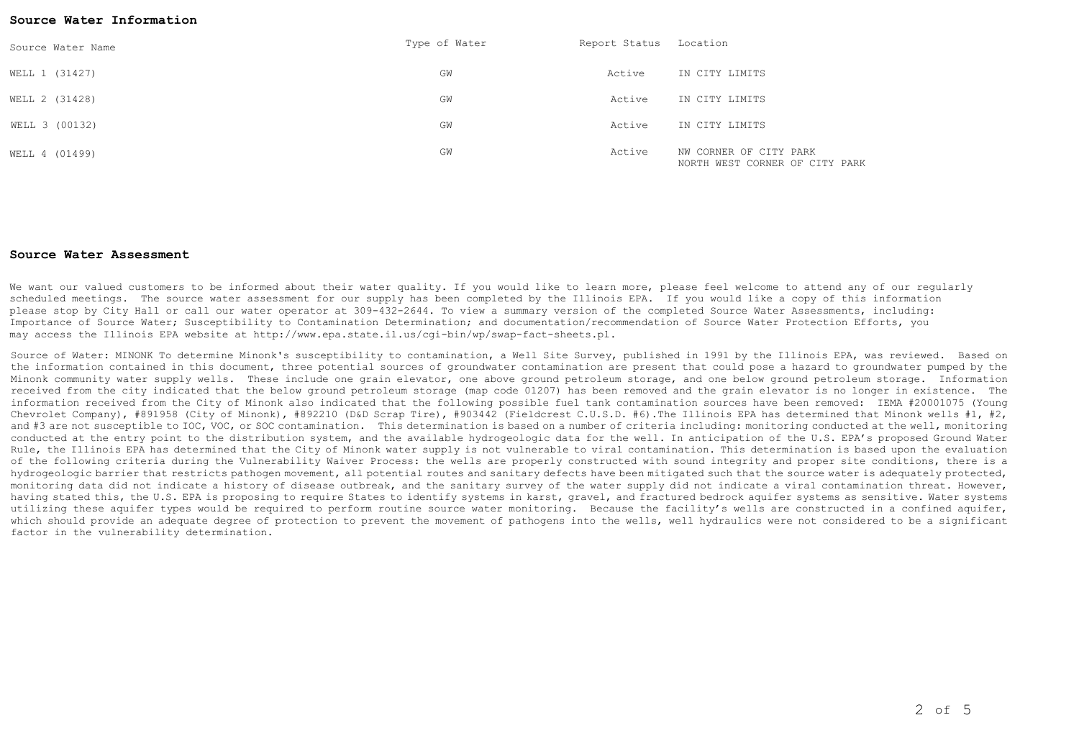#### **Source Water Information**

| Source Water Name | Type of Water | Report Status Location |                                                          |
|-------------------|---------------|------------------------|----------------------------------------------------------|
| WELL 1 (31427)    | GW            | Active                 | IN CITY LIMITS                                           |
| WELL 2 (31428)    | GW            | Active                 | IN CITY LIMITS                                           |
| WELL 3 (00132)    | GW            | Active                 | IN CITY LIMITS                                           |
| WELL 4 (01499)    | GW            | Active                 | NW CORNER OF CITY PARK<br>NORTH WEST CORNER OF CITY PARK |

#### **Source Water Assessment**

We want our valued customers to be informed about their water quality. If you would like to learn more, please feel welcome to attend any of our regularly scheduled meetings. The source water assessment for our supply has been completed by the Illinois EPA. If you would like a copy of this information please stop by City Hall or call our water operator at 309-432-2644. To view a summary version of the completed Source Water Assessments, including: Importance of Source Water; Susceptibility to Contamination Determination; and documentation/recommendation of Source Water Protection Efforts, you may access the Illinois EPA website at http://www.epa.state.il.us/cgi-bin/wp/swap-fact-sheets.pl.

Source of Water: MINONK To determine Minonk's susceptibility to contamination, a Well Site Survey, published in 1991 by the Illinois EPA, was reviewed. Based on the information contained in this document, three potential sources of groundwater contamination are present that could pose a hazard to groundwater pumped by the Minonk community water supply wells. These include one grain elevator, one above ground petroleum storage, and one below ground petroleum storage. Information received from the city indicated that the below ground petroleum storage (map code 01207) has been removed and the grain elevator is no longer in existence. The information received from the City of Minonk also indicated that the following possible fuel tank contamination sources have been removed: IEMA #20001075 (Young Chevrolet Company), #891958 (City of Minonk), #892210 (D&D Scrap Tire), #903442 (Fieldcrest C.U.S.D. #6).The Illinois EPA has determined that Minonk wells #1, #2, and #3 are not susceptible to IOC, VOC, or SOC contamination. This determination is based on a number of criteria including: monitoring conducted at the well, monitoring conducted at the entry point to the distribution system, and the available hydrogeologic data for the well. In anticipation of the U.S. EPA's proposed Ground Water Rule, the Illinois EPA has determined that the City of Minonk water supply is not vulnerable to viral contamination. This determination is based upon the evaluation of the following criteria during the Vulnerability Waiver Process: the wells are properly constructed with sound integrity and proper site conditions, there is a hydrogeologic barrier that restricts pathogen movement, all potential routes and sanitary defects have been mitigated such that the source water is adequately protected, monitoring data did not indicate a history of disease outbreak, and the sanitary survey of the water supply did not indicate a viral contamination threat. However, having stated this, the U.S. EPA is proposing to require States to identify systems in karst, gravel, and fractured bedrock aquifer systems as sensitive. Water systems utilizing these aquifer types would be required to perform routine source water monitoring. Because the facility's wells are constructed in a confined aquifer, which should provide an adequate degree of protection to prevent the movement of pathogens into the wells, well hydraulics were not considered to be a significant factor in the vulnerability determination.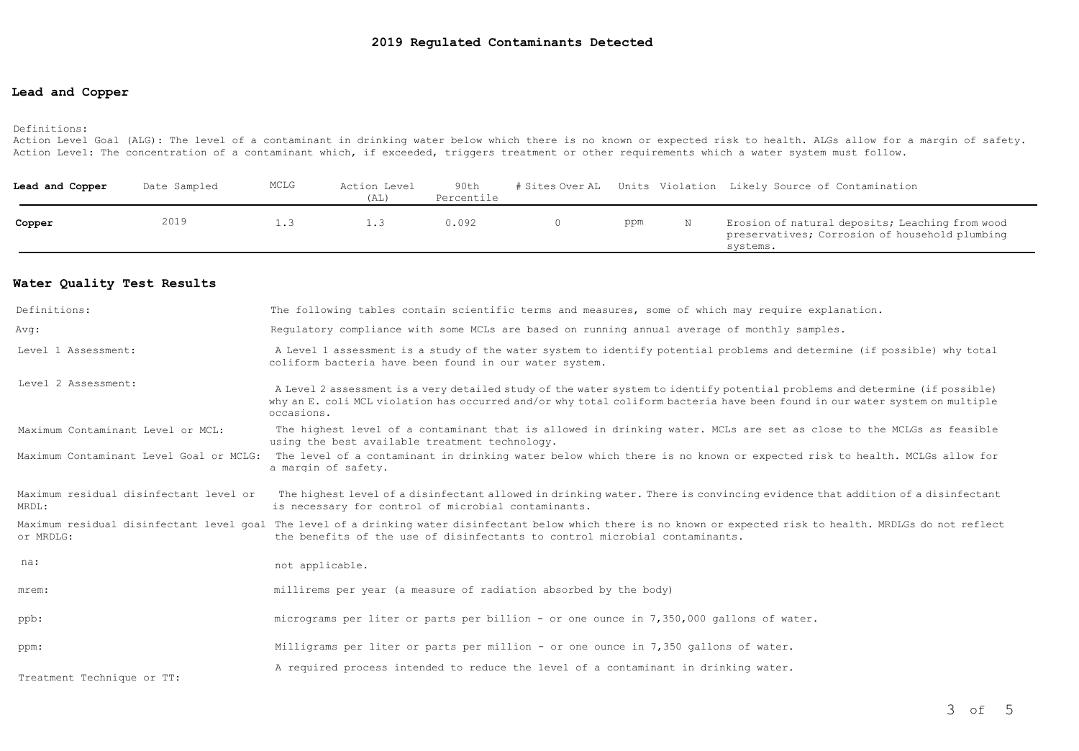## **Lead and Copper**

#### Definitions:

Action Level Goal (ALG): The level of a contaminant in drinking water below which there is no known or expected risk to health. ALGs allow for a margin of safety. Action Level: The concentration of a contaminant which, if exceeded, triggers treatment or other requirements which a water system must follow.

| Lead and Copper | Date Sampled | MCLG | Action Level<br>(AL) | 90th<br>Percentile |     | # Sites Over AL Units Violation Likely Source of Contamination                                                |
|-----------------|--------------|------|----------------------|--------------------|-----|---------------------------------------------------------------------------------------------------------------|
| Copper          | 2019         |      |                      | 0.092              | ppm | Erosion of natural deposits; Leaching from wood<br>preservatives; Corrosion of household plumbing<br>svstems. |

### **Water Quality Test Results**

| Definitions:                                    | The following tables contain scientific terms and measures, some of which may require explanation.                                                                                                                                                                         |
|-------------------------------------------------|----------------------------------------------------------------------------------------------------------------------------------------------------------------------------------------------------------------------------------------------------------------------------|
| Avq:                                            | Requlatory compliance with some MCLs are based on running annual average of monthly samples.                                                                                                                                                                               |
| Level 1 Assessment:                             | A Level 1 assessment is a study of the water system to identify potential problems and determine (if possible) why total<br>coliform bacteria have been found in our water system.                                                                                         |
| Level 2 Assessment:                             | A Level 2 assessment is a very detailed study of the water system to identify potential problems and determine (if possible)<br>why an E. coli MCL violation has occurred and/or why total coliform bacteria have been found in our water system on multiple<br>occasions. |
| Maximum Contaminant Level or MCL:               | The highest level of a contaminant that is allowed in drinking water. MCLs are set as close to the MCLGs as feasible<br>using the best available treatment technology.                                                                                                     |
| Maximum Contaminant Level Goal or MCLG:         | The level of a contaminant in drinking water below which there is no known or expected risk to health. MCLGs allow for<br>a margin of safety.                                                                                                                              |
| Maximum residual disinfectant level or<br>MRDL: | The highest level of a disinfectant allowed in drinking water. There is convincing evidence that addition of a disinfectant<br>is necessary for control of microbial contaminants.                                                                                         |
| or MRDLG:                                       | Maximum residual disinfectant level goal The level of a drinking water disinfectant below which there is no known or expected risk to health. MRDLGs do not reflect<br>the benefits of the use of disinfectants to control microbial contaminants.                         |
| na:                                             | not applicable.                                                                                                                                                                                                                                                            |
| mrem:                                           | millirems per year (a measure of radiation absorbed by the body)                                                                                                                                                                                                           |
| ppb:                                            | micrograms per liter or parts per billion - or one ounce in 7,350,000 gallons of water.                                                                                                                                                                                    |
| ppm:                                            | Milligrams per liter or parts per million - or one ounce in 7,350 gallons of water.                                                                                                                                                                                        |
| Treatment Technique or TT:                      | A required process intended to reduce the level of a contaminant in drinking water.                                                                                                                                                                                        |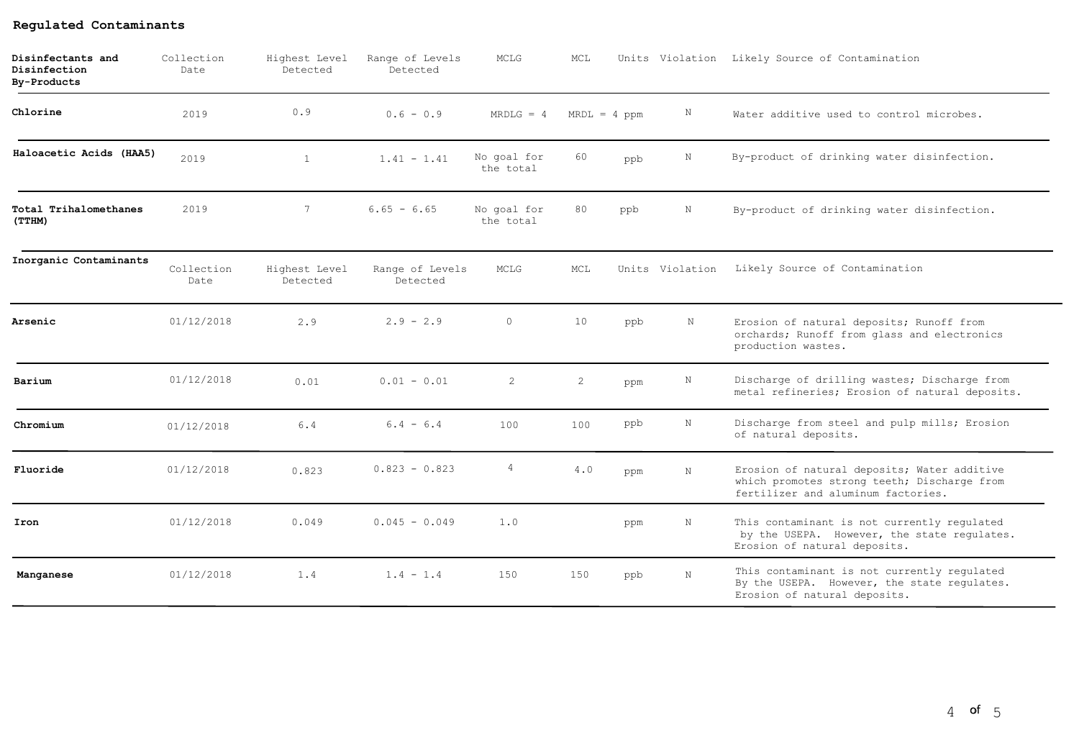| Disinfectants and<br>Disinfection<br><b>By-Products</b> | Collection<br>Date | Highest Level<br>Detected | Range of Levels<br>Detected | MCLG                     | MCL |                |                 | Units Violation Likely Source of Contamination                                                                                   |
|---------------------------------------------------------|--------------------|---------------------------|-----------------------------|--------------------------|-----|----------------|-----------------|----------------------------------------------------------------------------------------------------------------------------------|
| Chlorine                                                | 2019               | 0.9                       | $0.6 - 0.9$                 | $MRDLG = 4$              |     | $MRDL = 4 ppm$ | N               | Water additive used to control microbes.                                                                                         |
| Haloacetic Acids (HAA5)                                 | 2019               | $\mathbf{1}$              | $1.41 - 1.41$               | No goal for<br>the total | 60  | ppb            | $\mathbb N$     | By-product of drinking water disinfection.                                                                                       |
| Total Trihalomethanes<br>(TTHM)                         | 2019               | $7^{\circ}$               | $6.65 - 6.65$               | No goal for<br>the total | 80  | ppb            | N               | By-product of drinking water disinfection.                                                                                       |
| Inorganic Contaminants                                  | Collection<br>Date | Highest Level<br>Detected | Range of Levels<br>Detected | MCLG                     | MCL |                | Units Violation | Likely Source of Contamination                                                                                                   |
| Arsenic                                                 | 01/12/2018         | 2.9                       | $2.9 - 2.9$                 | $\circ$                  | 10  | ppb            | N               | Erosion of natural deposits; Runoff from<br>orchards; Runoff from glass and electronics<br>production wastes.                    |
| Barium                                                  | 01/12/2018         | 0.01                      | $0.01 - 0.01$               | $\overline{2}$           | 2   | ppm            | N               | Discharge of drilling wastes; Discharge from<br>metal refineries; Erosion of natural deposits.                                   |
| Chromium                                                | 01/12/2018         | 6.4                       | $6.4 - 6.4$                 | 100                      | 100 | ppb            | $_{\rm N}$      | Discharge from steel and pulp mills; Erosion<br>of natural deposits.                                                             |
| Fluoride                                                | 01/12/2018         | 0.823                     | $0.823 - 0.823$             | 4                        | 4.0 | ppm            | $\mathbf N$     | Erosion of natural deposits; Water additive<br>which promotes strong teeth; Discharge from<br>fertilizer and aluminum factories. |
| Iron                                                    | 01/12/2018         | 0.049                     | $0.045 - 0.049$             | 1.0                      |     | ppm            | $\mathbb N$     | This contaminant is not currently regulated<br>by the USEPA. However, the state regulates.<br>Erosion of natural deposits.       |
| Manganese                                               | 01/12/2018         | 1.4                       | $1.4 - 1.4$                 | 150                      | 150 | ppb            | $\mathbf N$     | This contaminant is not currently regulated<br>By the USEPA. However, the state regulates.<br>Erosion of natural deposits.       |

## **Regulated Contaminants**